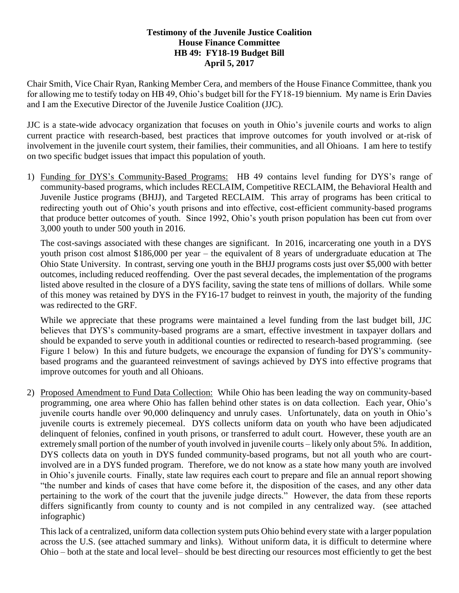#### **Testimony of the Juvenile Justice Coalition House Finance Committee HB 49: FY18-19 Budget Bill April 5, 2017**

Chair Smith, Vice Chair Ryan, Ranking Member Cera, and members of the House Finance Committee, thank you for allowing me to testify today on HB 49, Ohio's budget bill for the FY18-19 biennium. My name is Erin Davies and I am the Executive Director of the Juvenile Justice Coalition (JJC).

JJC is a state-wide advocacy organization that focuses on youth in Ohio's juvenile courts and works to align current practice with research-based, best practices that improve outcomes for youth involved or at-risk of involvement in the juvenile court system, their families, their communities, and all Ohioans. I am here to testify on two specific budget issues that impact this population of youth.

1) Funding for DYS's Community-Based Programs: HB 49 contains level funding for DYS's range of community-based programs, which includes RECLAIM, Competitive RECLAIM, the Behavioral Health and Juvenile Justice programs (BHJJ), and Targeted RECLAIM. This array of programs has been critical to redirecting youth out of Ohio's youth prisons and into effective, cost-efficient community-based programs that produce better outcomes of youth. Since 1992, Ohio's youth prison population has been cut from over 3,000 youth to under 500 youth in 2016.

The cost-savings associated with these changes are significant. In 2016, incarcerating one youth in a DYS youth prison cost almost \$186,000 per year – the equivalent of 8 years of undergraduate education at The Ohio State University. In contrast, serving one youth in the BHJJ programs costs just over \$5,000 with better outcomes, including reduced reoffending. Over the past several decades, the implementation of the programs listed above resulted in the closure of a DYS facility, saving the state tens of millions of dollars. While some of this money was retained by DYS in the FY16-17 budget to reinvest in youth, the majority of the funding was redirected to the GRF.

While we appreciate that these programs were maintained a level funding from the last budget bill, JJC believes that DYS's community-based programs are a smart, effective investment in taxpayer dollars and should be expanded to serve youth in additional counties or redirected to research-based programming. (see Figure 1 below) In this and future budgets, we encourage the expansion of funding for DYS's communitybased programs and the guaranteed reinvestment of savings achieved by DYS into effective programs that improve outcomes for youth and all Ohioans.

2) Proposed Amendment to Fund Data Collection: While Ohio has been leading the way on community-based programming, one area where Ohio has fallen behind other states is on data collection. Each year, Ohio's juvenile courts handle over 90,000 delinquency and unruly cases. Unfortunately, data on youth in Ohio's juvenile courts is extremely piecemeal. DYS collects uniform data on youth who have been adjudicated delinquent of felonies, confined in youth prisons, or transferred to adult court. However, these youth are an extremely small portion of the number of youth involved in juvenile courts – likely only about 5%. In addition, DYS collects data on youth in DYS funded community-based programs, but not all youth who are courtinvolved are in a DYS funded program. Therefore, we do not know as a state how many youth are involved in Ohio's juvenile courts. Finally, state law requires each court to prepare and file an annual report showing "the number and kinds of cases that have come before it, the disposition of the cases, and any other data pertaining to the work of the court that the juvenile judge directs." However, the data from these reports differs significantly from county to county and is not compiled in any centralized way. (see attached infographic)

This lack of a centralized, uniform data collection system puts Ohio behind every state with a larger population across the U.S. (see attached summary and links). Without uniform data, it is difficult to determine where Ohio – both at the state and local level– should be best directing our resources most efficiently to get the best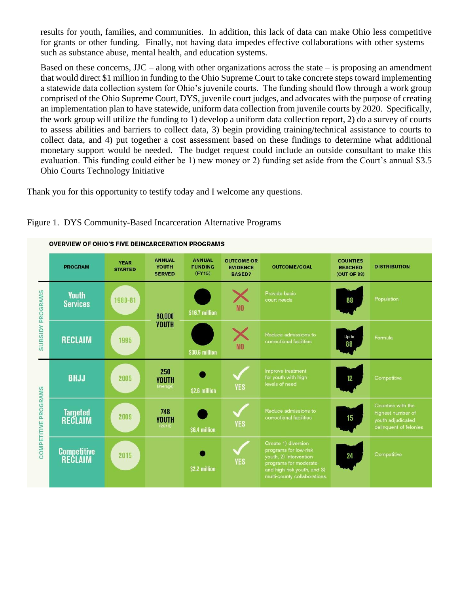results for youth, families, and communities. In addition, this lack of data can make Ohio less competitive for grants or other funding. Finally, not having data impedes effective collaborations with other systems – such as substance abuse, mental health, and education systems.

Based on these concerns,  $JJC - along with other organizations across the state – is proposing an amendment$ that would direct \$1 million in funding to the Ohio Supreme Court to take concrete steps toward implementing a statewide data collection system for Ohio's juvenile courts. The funding should flow through a work group comprised of the Ohio Supreme Court, DYS, juvenile court judges, and advocates with the purpose of creating an implementation plan to have statewide, uniform data collection from juvenile courts by 2020. Specifically, the work group will utilize the funding to 1) develop a uniform data collection report, 2) do a survey of courts to assess abilities and barriers to collect data, 3) begin providing training/technical assistance to courts to collect data, and 4) put together a cost assessment based on these findings to determine what additional monetary support would be needed. The budget request could include an outside consultant to make this evaluation. This funding could either be 1) new money or 2) funding set aside from the Court's annual \$3.5 Ohio Courts Technology Initiative

Thank you for this opportunity to testify today and I welcome any questions.



### Figure 1. DYS Community-Based Incarceration Alternative Programs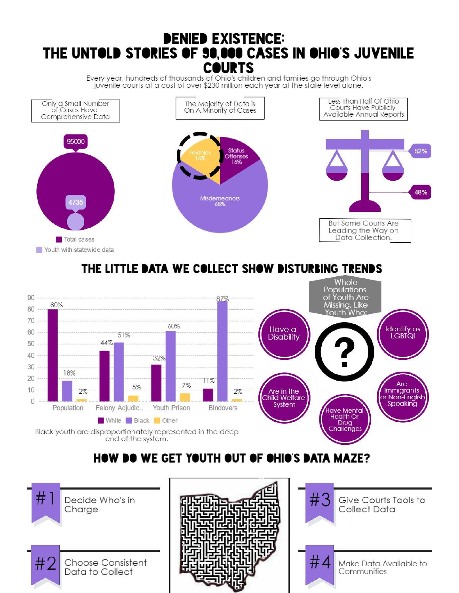# **DENIED EXISTENCE:** THE UNTOLD STORIES OF 90,000 CASES IN OHIO'S JUVENILE **COURTS**

Every year, hundreds of thousands of Ohio's children and families go through Ohio's juvenile courts at a cost of over \$230 million each year at the state level alone.



## THE LITTLE DATA WE COLLECT SHOW DISTURBING TRENDS



# **HOW DO WE GET YOUTH OUT OF OHIO'S DATA MAZE?**